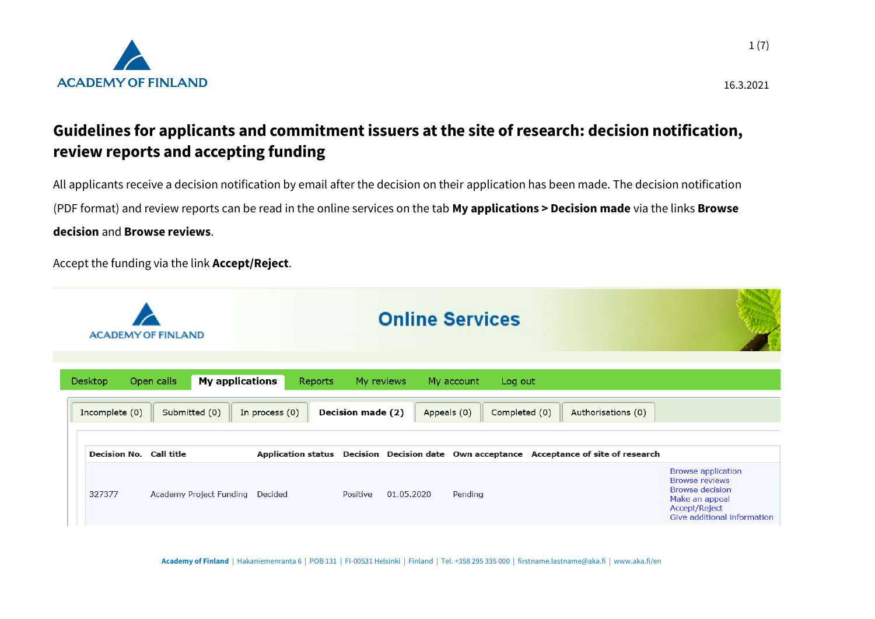

## **Guidelines for applicants and commitment issuers at the site of research: decision notification, review reports and accepting funding**

All applicants receive a decision notification by email after the decision on their application has been made. The decision notification (PDF format) and review reports can be read in the online services on the tab **My applications > Decision made** via the links **Browse decision** and **Browse reviews**.

Accept the funding via the link **Accept/Reject**.

|                |                                          | <b>ACADEMY OF FINLAND</b>                             |                                      |                          |            | <b>Online Services</b>                                |                                                                      |                                                                                                                                                |
|----------------|------------------------------------------|-------------------------------------------------------|--------------------------------------|--------------------------|------------|-------------------------------------------------------|----------------------------------------------------------------------|------------------------------------------------------------------------------------------------------------------------------------------------|
| <b>Desktop</b> | Incomplete (0)                           | Open calls<br><b>My applications</b><br>Submitted (0) | Reports<br>In process (0)            | <b>Decision made (2)</b> | My reviews | My account<br>Log out<br>Appeals (0)<br>Completed (0) | Authorisations (0)                                                   |                                                                                                                                                |
|                | <b>Decision No. Call title</b><br>327377 | Academy Project Funding                               | <b>Application status</b><br>Decided | Positive                 | 01.05.2020 | Pending                                               | Decision Decision date Own acceptance Acceptance of site of research | <b>Browse application</b><br><b>Browse reviews</b><br><b>Browse decision</b><br>Make an appeal<br>Accept/Reject<br>Give additional information |

**Academy of Finland** | Hakaniemenranta 6 | POB 131 | FI-00531 Helsinki | Finland | Tel. +358 295 335 000 | firstname.lastname@aka.fi | www.aka.fi/en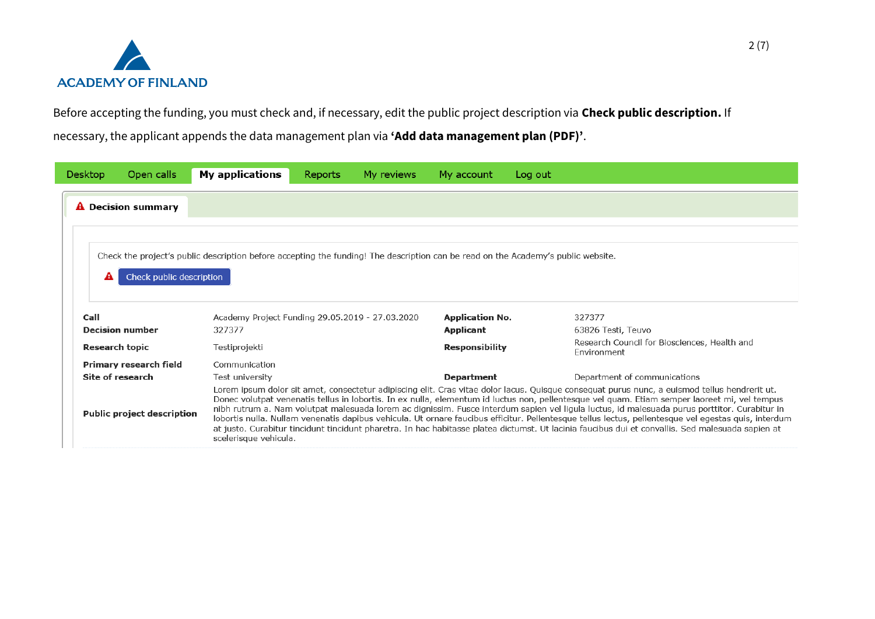

Before accepting the funding, you must check and, if necessary, edit the public project description via **Check public description.** If

necessary, the applicant appends the data management plan via **'Add data management plan (PDF)'**.

| <b>Desktop</b>        | Open calls                        | <b>My applications</b>                          | Reports | My reviews | My account             | Log out                                                                                                                                                                                                                                                                                                                                                                                                                                                                                                                                                                                                                                                                                                                                                      |
|-----------------------|-----------------------------------|-------------------------------------------------|---------|------------|------------------------|--------------------------------------------------------------------------------------------------------------------------------------------------------------------------------------------------------------------------------------------------------------------------------------------------------------------------------------------------------------------------------------------------------------------------------------------------------------------------------------------------------------------------------------------------------------------------------------------------------------------------------------------------------------------------------------------------------------------------------------------------------------|
|                       | <b>A</b> Decision summary         |                                                 |         |            |                        |                                                                                                                                                                                                                                                                                                                                                                                                                                                                                                                                                                                                                                                                                                                                                              |
|                       |                                   |                                                 |         |            |                        |                                                                                                                                                                                                                                                                                                                                                                                                                                                                                                                                                                                                                                                                                                                                                              |
|                       |                                   |                                                 |         |            |                        | Check the project's public description before accepting the funding! The description can be read on the Academy's public website.                                                                                                                                                                                                                                                                                                                                                                                                                                                                                                                                                                                                                            |
| А                     | Check public description          |                                                 |         |            |                        |                                                                                                                                                                                                                                                                                                                                                                                                                                                                                                                                                                                                                                                                                                                                                              |
|                       |                                   |                                                 |         |            |                        |                                                                                                                                                                                                                                                                                                                                                                                                                                                                                                                                                                                                                                                                                                                                                              |
|                       |                                   |                                                 |         |            |                        |                                                                                                                                                                                                                                                                                                                                                                                                                                                                                                                                                                                                                                                                                                                                                              |
| Call                  |                                   | Academy Project Funding 29.05.2019 - 27.03.2020 |         |            | <b>Application No.</b> | 327377                                                                                                                                                                                                                                                                                                                                                                                                                                                                                                                                                                                                                                                                                                                                                       |
|                       | <b>Decision number</b>            | 327377                                          |         |            | Applicant              | 63826 Testi, Teuvo                                                                                                                                                                                                                                                                                                                                                                                                                                                                                                                                                                                                                                                                                                                                           |
| <b>Research topic</b> |                                   | Testiprojekti                                   |         |            | <b>Responsibility</b>  | Research Council for Biosciences, Health and<br>Environment                                                                                                                                                                                                                                                                                                                                                                                                                                                                                                                                                                                                                                                                                                  |
|                       | <b>Primary research field</b>     | Communication                                   |         |            |                        |                                                                                                                                                                                                                                                                                                                                                                                                                                                                                                                                                                                                                                                                                                                                                              |
|                       | Site of research                  | Test university                                 |         |            | Department             | Department of communications                                                                                                                                                                                                                                                                                                                                                                                                                                                                                                                                                                                                                                                                                                                                 |
|                       | <b>Public project description</b> | scelerisque vehicula.                           |         |            |                        | Lorem ipsum dolor sit amet, consectetur adipiscing elit. Cras vitae dolor lacus. Quisque consequat purus nunc, a euismod tellus hendrerit ut.<br>Donec volutpat venenatis tellus in lobortis. In ex nulla, elementum id luctus non, pellentesque vel quam. Etiam semper laoreet mi, vel tempus<br>nibh rutrum a. Nam volutpat malesuada lorem ac dignissim. Fusce interdum sapien vel ligula luctus, id malesuada purus porttitor. Curabitur in<br>lobortis nulla. Nullam venenatis dapibus vehicula. Ut ornare faucibus efficitur. Pellentesque tellus lectus, pellentesque vel egestas quis, interdum<br>at justo. Curabitur tincidunt tincidunt pharetra. In hac habitasse platea dictumst. Ut lacinia faucibus dui et convallis. Sed malesuada sapien at |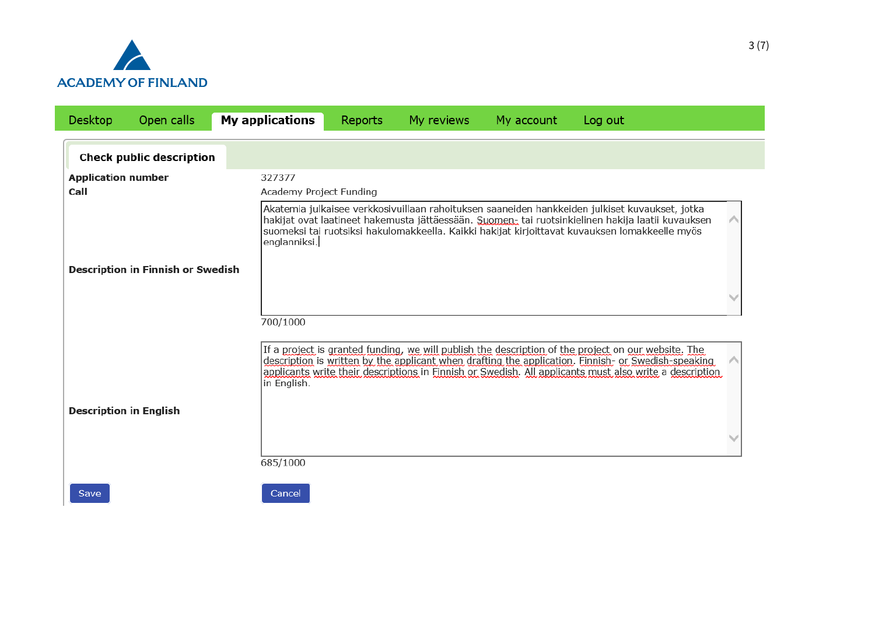

| <b>Desktop</b>                    | Open calls                        | <b>My applications</b>                            | Reports | My reviews | My account | Log out                                                                                                                                                                                                                                                                                                               |
|-----------------------------------|-----------------------------------|---------------------------------------------------|---------|------------|------------|-----------------------------------------------------------------------------------------------------------------------------------------------------------------------------------------------------------------------------------------------------------------------------------------------------------------------|
|                                   | <b>Check public description</b>   |                                                   |         |            |            |                                                                                                                                                                                                                                                                                                                       |
| <b>Application number</b><br>Call |                                   | 327377<br>Academy Project Funding<br>englanniksi. |         |            |            | Akatemia julkaisee verkkosivuillaan rahoituksen saaneiden hankkeiden julkiset kuvaukset, jotka<br>hakijat ovat laatineet hakemusta jättäessään. Suomen- tai ruotsinkielinen hakija laatii kuvauksen<br>suomeksi tai ruotsiksi hakulomakkeella. Kaikki hakijat kirjoittavat kuvauksen lomakkeelle myös                 |
|                                   | Description in Finnish or Swedish | 700/1000                                          |         |            |            |                                                                                                                                                                                                                                                                                                                       |
|                                   |                                   | in English.                                       |         |            |            | If a project is granted funding, we will publish the description of the project on our website. The<br>description is written by the applicant when drafting the application. Finnish- or Swedish-speaking<br>applicants write their descriptions in Finnish or Swedish. All applicants must also write a description |
| <b>Description in English</b>     |                                   | 685/1000                                          |         |            |            |                                                                                                                                                                                                                                                                                                                       |
| Save                              |                                   | Cancel                                            |         |            |            |                                                                                                                                                                                                                                                                                                                       |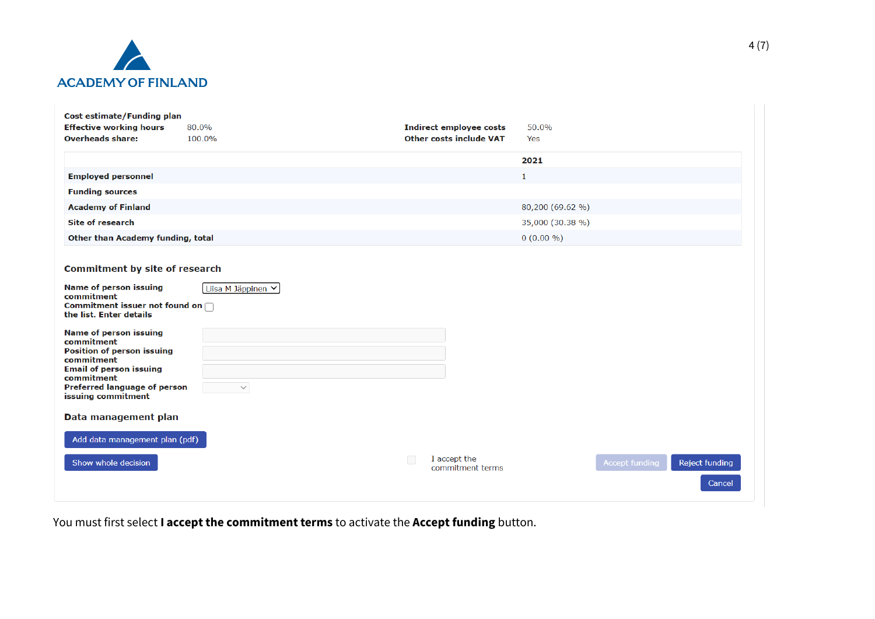

| Cost estimate/Funding plan                                                                                                                                                                                                                                                                                                                    |                                    |                                            |                                                   |
|-----------------------------------------------------------------------------------------------------------------------------------------------------------------------------------------------------------------------------------------------------------------------------------------------------------------------------------------------|------------------------------------|--------------------------------------------|---------------------------------------------------|
| <b>Effective working hours</b>                                                                                                                                                                                                                                                                                                                | 80.0%                              | <b>Indirect employee costs</b>             | 50.0%                                             |
| <b>Overheads share:</b>                                                                                                                                                                                                                                                                                                                       | 100.0%                             | <b>Other costs include VAT</b>             | Yes                                               |
|                                                                                                                                                                                                                                                                                                                                               |                                    |                                            | 2021                                              |
| <b>Employed personnel</b>                                                                                                                                                                                                                                                                                                                     |                                    |                                            | $\mathbf{1}$                                      |
| <b>Funding sources</b>                                                                                                                                                                                                                                                                                                                        |                                    |                                            |                                                   |
| <b>Academy of Finland</b>                                                                                                                                                                                                                                                                                                                     |                                    |                                            | 80,200 (69.62 %)                                  |
| <b>Site of research</b>                                                                                                                                                                                                                                                                                                                       |                                    |                                            | 35,000 (30.38 %)                                  |
| Other than Academy funding, total                                                                                                                                                                                                                                                                                                             |                                    |                                            | $0(0.00\% )$                                      |
| <b>Commitment by site of research</b><br><b>Name of person issuing</b><br>commitment<br>Commitment issuer not found on $\bigcap$<br>the list. Enter details<br><b>Name of person issuing</b><br>commitment<br><b>Position of person issuing</b><br>commitment<br><b>Email of person issuing</b><br>commitment<br>Preferred language of person | Liisa M Jäppinen V<br>$\checkmark$ |                                            |                                                   |
| issuing commitment<br>Data management plan                                                                                                                                                                                                                                                                                                    |                                    |                                            |                                                   |
| Add data management plan (pdf)                                                                                                                                                                                                                                                                                                                |                                    |                                            |                                                   |
| Show whole decision                                                                                                                                                                                                                                                                                                                           |                                    | $\Box$<br>I accept the<br>commitment terms | <b>Accept funding</b><br>Reject funding<br>Cancel |

You must first select **I accept the commitment terms** to activate the **Accept funding** button.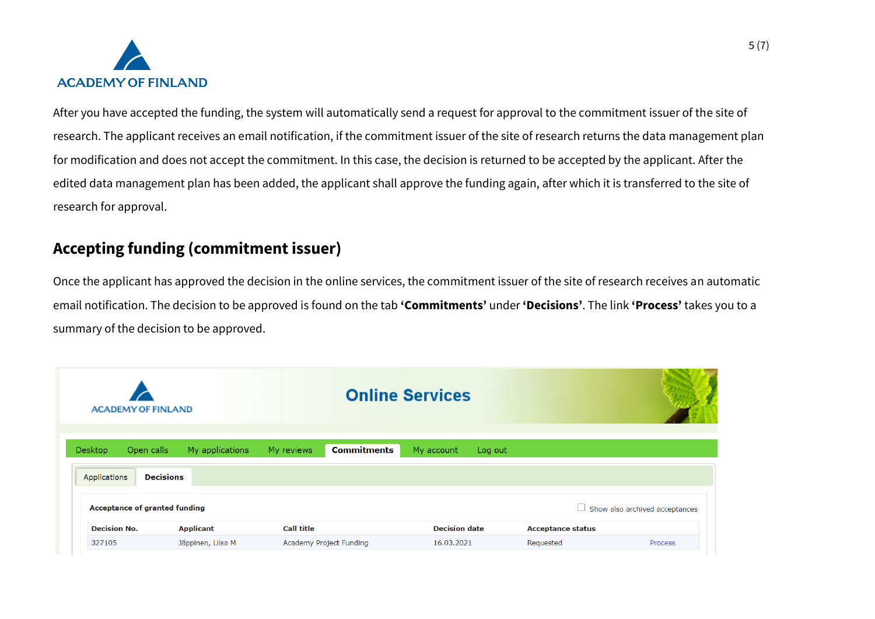

After you have accepted the funding, the system will automatically send a request for approval to the commitment issuer of the site of research. The applicant receives an email notification, if the commitment issuer of the site of research returns the data management plan for modification and does not accept the commitment. In this case, the decision is returned to be accepted by the applicant. After the edited data management plan has been added, the applicant shall approve the funding again, after which it is transferred to the site of research for approval.

## **Accepting funding (commitment issuer)**

Once the applicant has approved the decision in the online services, the commitment issuer of the site of research receives an automatic email notification. The decision to be approved is found on the tab **'Commitments'** under **'Decisions'**. The link **'Process'** takes you to a summary of the decision to be approved.

| <b>ACADEMY OF FINLAND</b>     |                   |                                  | <b>Online Services</b> |                          |                                       |
|-------------------------------|-------------------|----------------------------------|------------------------|--------------------------|---------------------------------------|
| Desktop<br>Open calls         | My applications   | <b>Commitments</b><br>My reviews | My account<br>Log out  |                          |                                       |
| Applications                  | <b>Decisions</b>  |                                  |                        |                          |                                       |
| Acceptance of granted funding |                   |                                  |                        |                          | $\Box$ Show also archived acceptances |
| <b>Decision No.</b>           | <b>Applicant</b>  | <b>Call title</b>                | <b>Decision date</b>   | <b>Acceptance status</b> |                                       |
| 327105                        | Jäppinen, Liisa M | Academy Project Funding          | 16.03.2021             | Requested                | <b>Process</b>                        |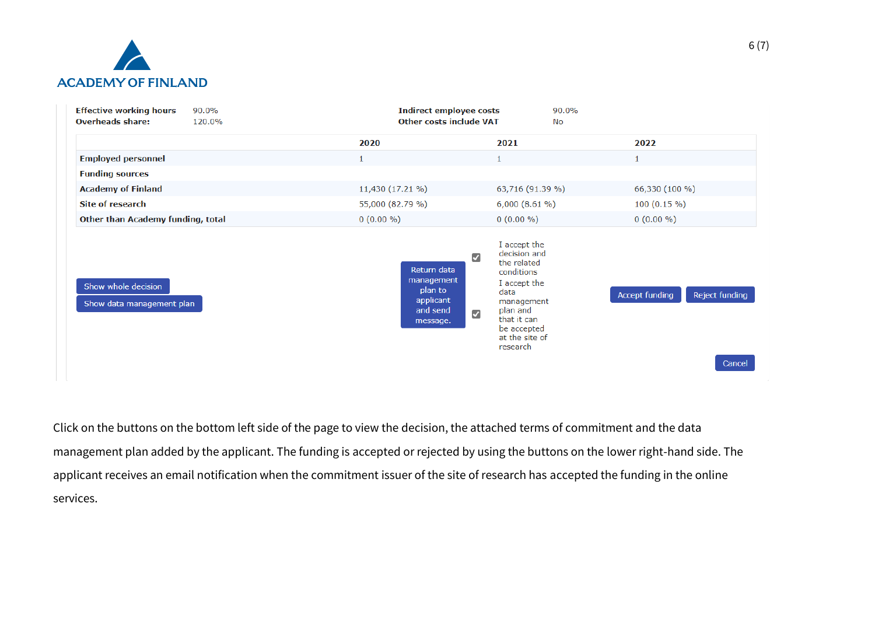

| <b>Effective working hours</b><br>90.0%<br><b>Overheads share:</b><br>120.0% | <b>Indirect employee costs</b><br><b>Other costs include VAT</b>                                                                  | 90.0%<br>No                                                                                                                                                             |                                            |  |  |
|------------------------------------------------------------------------------|-----------------------------------------------------------------------------------------------------------------------------------|-------------------------------------------------------------------------------------------------------------------------------------------------------------------------|--------------------------------------------|--|--|
|                                                                              | 2020                                                                                                                              | 2021                                                                                                                                                                    | 2022                                       |  |  |
| <b>Employed personnel</b>                                                    |                                                                                                                                   |                                                                                                                                                                         |                                            |  |  |
| <b>Funding sources</b>                                                       |                                                                                                                                   |                                                                                                                                                                         |                                            |  |  |
| <b>Academy of Finland</b>                                                    | 11,430 (17.21 %)                                                                                                                  | 63,716 (91.39 %)                                                                                                                                                        | 66,330 (100 %)                             |  |  |
| <b>Site of research</b>                                                      | 55,000 (82.79 %)                                                                                                                  | 6,000(8.61%)                                                                                                                                                            | $100(0.15\%)$                              |  |  |
| Other than Academy funding, total                                            | $0(0.00\% )$                                                                                                                      | $0(0.00\% )$                                                                                                                                                            | $0(0.00\% )$                               |  |  |
| Show whole decision<br>Show data management plan                             | $\overline{\mathcal{L}}$<br>Return data<br>management<br>plan to<br>applicant<br>and send<br>$\overline{\mathcal{L}}$<br>message. | I accept the<br>decision and<br>the related<br>conditions<br>I accept the<br>data<br>management<br>plan and<br>that it can<br>be accepted<br>at the site of<br>research | Accept funding<br>Reject funding<br>Cancel |  |  |

Click on the buttons on the bottom left side of the page to view the decision, the attached terms of commitment and the data management plan added by the applicant. The funding is accepted or rejected by using the buttons on the lower right-hand side. The applicant receives an email notification when the commitment issuer of the site of research has accepted the funding in the online services.